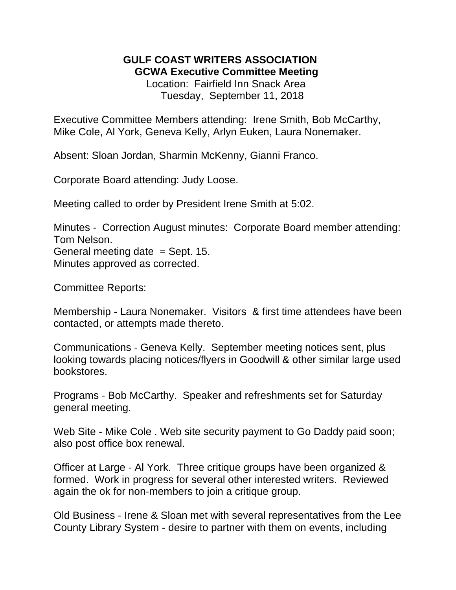## **GULF COAST WRITERS ASSOCIATION GCWA Executive Committee Meeting** Location: Fairfield Inn Snack Area Tuesday, September 11, 2018

Executive Committee Members attending: Irene Smith, Bob McCarthy, Mike Cole, Al York, Geneva Kelly, Arlyn Euken, Laura Nonemaker.

Absent: Sloan Jordan, Sharmin McKenny, Gianni Franco.

Corporate Board attending: Judy Loose.

Meeting called to order by President Irene Smith at 5:02.

Minutes - Correction August minutes: Corporate Board member attending: Tom Nelson. General meeting date  $=$  Sept. 15. Minutes approved as corrected.

Committee Reports:

Membership - Laura Nonemaker. Visitors & first time attendees have been contacted, or attempts made thereto.

Communications - Geneva Kelly. September meeting notices sent, plus looking towards placing notices/flyers in Goodwill & other similar large used bookstores.

Programs - Bob McCarthy. Speaker and refreshments set for Saturday general meeting.

Web Site - Mike Cole . Web site security payment to Go Daddy paid soon; also post office box renewal.

Officer at Large - Al York. Three critique groups have been organized & formed. Work in progress for several other interested writers. Reviewed again the ok for non-members to join a critique group.

Old Business - Irene & Sloan met with several representatives from the Lee County Library System - desire to partner with them on events, including